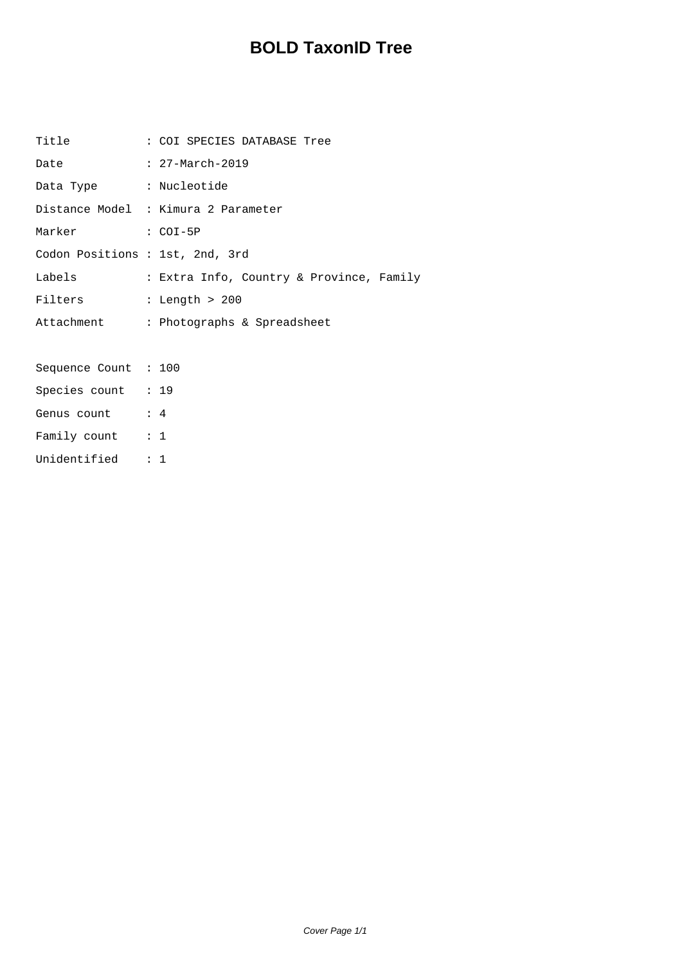## **BOLD TaxonID Tree**

| Title                           | : COI SPECIES DATABASE Tree              |
|---------------------------------|------------------------------------------|
| Date                            | : 27-March-2019                          |
| Data Type : Nucleotide          |                                          |
|                                 | Distance Model : Kimura 2 Parameter      |
| Marker : COI-5P                 |                                          |
| Codon Positions : 1st, 2nd, 3rd |                                          |
| Labels                          | : Extra Info, Country & Province, Family |
| Filters                         | : Length $>200$                          |
|                                 | Attachment : Photographs & Spreadsheet   |
|                                 |                                          |
| Sequence Count : 100            |                                          |
| Species count : 19              |                                          |
| Genus count : 4                 |                                          |
| Family count : 1                |                                          |
| Unidentified : 1                |                                          |